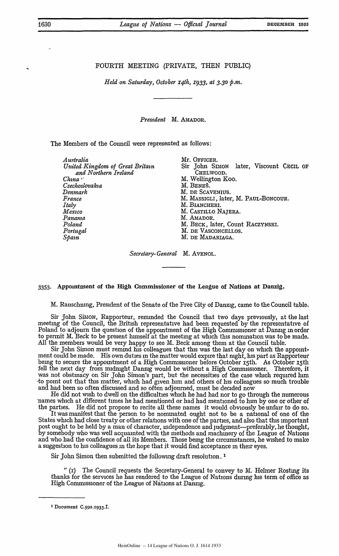## FOURTH MEETING (PRIVATE, THEN PUBLIC)

*Held on Saturday, October x4th, x933, at 3.30 p.m.*

*Prestdent* M. AMADOR.

The Members of the Council were represented as follows:

| Australia                       | Mr. OFFICER.                            |
|---------------------------------|-----------------------------------------|
| United Kingdom of Great Britain | Sir John SIMON later, Viscount CECIL OF |
| and Northern Ireland            | CHELWOOD.                               |
| $China$ $\cdot$                 | M. Wellington Koo.                      |
| Czechoslovakia                  | M. BENEŠ.                               |
| Denmark                         | M. DE SCAVENIUS.                        |
| France                          | M. MASSIGLI, later, M. PAUL-BONCOUR.    |
| Italy                           | M. BIANCHERI.                           |
| Mexico                          | M. CASTILLO NAJERA.                     |
| Panama                          | M. AMADOR.                              |
| Poland                          | M. BECK, later, Count RACZYNSKI.        |
| Portugal                        | M. DE VASCONCELLOS.                     |
| Spain                           | M. DE MADARIAGA.                        |
|                                 |                                         |

*Secretary-General* M. AVENOL.

## 3353. Appointment of the High Commissioner of the League of Nations at Danzig.

M. Rauschning, President of the Senate of the Free City of Danzig, came to the Council table.

Sir John Simon, Rapporteur, reminded the Council that two days previously, at the last meeting of the Council, the British representative had been requested **by** the representative of Poland to adjourn the question of the appointment of the High Commissioner at Danzig in order to permit M. Beck to be present himself at the meeting at which this nomination was to be made. All the members would be very happy to see M. Beck among them at the Council table.

Sir John Simon must remind his colleagues that this was the last day on which the appointment could be made. His own duties **in** the matter would expire that night, his part as Rapporteur being to secure the appointment of a High Commissioner before October 15th. As October 15th fell the next day from midnight Danzig would be without a High Commissioner. Therefore, it was not obstinacy on Sir John Simon's part, but the necessities of the case which required him -to point out that this matter, which had given him and others of his colleagues so much trouble and had been so often discussed and so often adjourned, must be decided now

He did not wish to dwell on the difficulties which he had had nor to go through the numerous 'names which at different times he had mentioned or had had mentioned to him **by** one or other of the parties. He did not propose to recite all these names it would obviously be unfair to do **so,**

It was manifest that the person to be nominated ought not to be a national of one of the States which had close treaty or other relations with one of the parties, and also that this important post ought to be held **by** a man of character, independence and judgment-preferably, he thought, **by** somebody who was well acquainted with the methods and machinery of the League of Nations and who had the confidence of all its Members. Those being the circumstances, he wished to make a suggestion to his colleagues m the hope that it would find acceptance in their eyes.

Sir John Simon then submitted the following draft resolution. **I**

**"** (i) The Council requests the Secretary-General to convey to M. Helmer Rosting its thanks for the services he has rendered to the League of Nations during his term of office as High Commissioner of the League of Nations at Danzig.

**<sup>1</sup>** Document **C.592.1933.I.**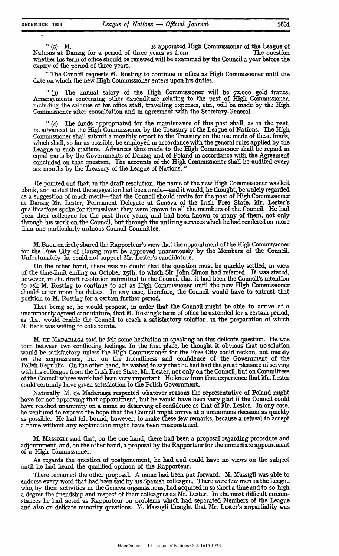"(2) M. is appointed High Commssioner of the League of Nations at Danzig for a period of three years as from The question -whether-hs term of office should be renewed will be examined **by** the Council a year before the expiry of the period of three years.

"The Council requests M. Rosting to continue in office as High Commissioner until the date on **which** the new High Commissioner enters upon his duties.

*"* **(3)** The annual salary of the High Commissioner %ill be **7z,ooo** gold francs, Arrangements concerning other expenditure relating to the post of High Commissioner. including the salaries of his office staff, travelling expenses, etc., will be made **by** the High Commissioner after consultation and in agreement with the Secretary-General.

*"* **(4)** The funds appropriated for the maintenance of this post shall, as **in** the past, be advanced to the High Commissioner **by** the Treasury of the League of Nations. The High Commissioner shall submit a monthly report to the Treasury on the use made of these funds, which shall, so far as possible, be employed **in** accordance with the general rules applied **by** the League in such matters. Advances thus made to the High Commissioner shall be repaid **in** equal parts **by** the Governments of Danzig and of Poland in accordance with the Agreement concluded on that question. The accounts of the High Commissioner shall be audited every six months **by** the Treasury of the League of Nations. **"**

He pointed out that, in the draft resolution, the name of the new **High** Commissioner was left blank, and added that the suggestion had been made-and it would, he thought, be **widely** regarded as a suggestion of much merit—that the Council should invite for the post of High Commissioner at Danzig Mr. Lester, Permanent Delegate at Geneva of the Irish Free State. **Mr.** Lester's qualifications spoke for themselves; they were known to all the members of the Council. He had been their colleague for the past three years, and had been known to many of them, not only through his work on the Council, but through the untiring services which he **had** rendered on more than one particularly arduous Council Committee.

M. **BECK** entirely shared the Rapporteur's view that the appointment of the High Commssioner for the Free City of Danzig must be approved unanimously by the Members of the Council. Unfortunately he could not support Mr. Lester's candidature.

On the other hand, there was no doubt that the question must be quickly settled, in view of the time-limit ending on October **15th,** to which Sir John Simon had referred. It was stated, however, in the draft resolution submitted to the Council that it had been the Council's intention to ask M. Rosting to continue to act as High Commissioner until the new High Commissioner should enter upon his duties. In any case, therefore, the Council would have to entrust that position to M. Rosting for a certain further period.

That being so, he would propose, in order that the Council might be able to arrive at a unanimously agreed candidature, that M. Rosting's term of office be extended for a certain period, as that would enable the Council to reach a satisfactory solution, in the preparation of which M. Beck was willing to collaborate.

M. **DE MADAIAGA** said he felt some hesitation **in** speaking on this delicate question. He was torn between two conflicting feelings. In the first place, he thought it obvious that no solution would be satisfactory unless the High Commissioner for the Free City could reckon, not merely on the acquiescence, but on the friendliness and confidence of the Government of the Polish Republic. On the other hand, he wished to say that he had had the great pleasure of serving with his colleague from the Irish Free State, Mr. Lester, not only on the Council, but on Committees of the Council whose work had been very important. He knew from that experience that Mr. Lester could certainly have given satisfaction to the Polish Government

Naturally M. de Madariaga respected whatever reasons the representative of Poland nught have for not approving that appointment, but he would have been very glad if the Council could have reached unanimity on a name so deserving of confidence as that of Mr. Lester. In any case, he ventured to express the hope that the Council might arrive at a unanimous decision as quickly as possible. He had felt bound, however, to make these few remarks, because a refusal to accept a name without any explanation might have been misconstrued.

M. MAssiGI said that, on the one hand, there had been a proposal regarding procedure and adjournment, and, on the other hand, a proposal by the Rapporteur for the immediate appointment of a High Commissioner.

As regards the question of postponement, he had and could have no views on the subject until he had heard the qualified opinion of the Rapporteur.

There remained the other proposal. A name had been put forward. M. Massigli was able to endorse every word that had been said by his Spanish colleague. There were few men **in** the League who, by their activities in the Geneva orgamsations, had acquired in so short a time and to so **high** a degree the friendship and respect of their colleagues as Mr. Lester. In the most difficult circumstances he had acted as Rapporteur on problems which **had** separated Members of the League and also on delicate minority questions. M. Massigli thought that Mr. Lester's impartiality was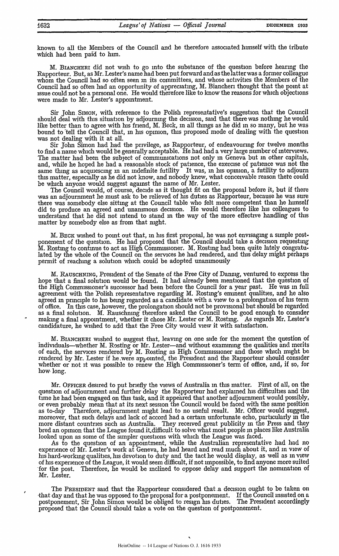known to all the Members of the Council and he therefore associated himself with the tribute which had been paid to him.

M. BiANcHERi did not wish to go into the substance of the question before hearing the Rapporteur. But, as Mr. Lester's name had been put forward and as the latter was a former colleague whom the Council had so often seen in its committees, and whose activities the Members of the Council had so often had an opportunity of appreciating, M. Biancheri thought that the point at issue could not be a personal one. He would therefore like to know the reasons for which objections were made to Mr. Lester's appointment.

Sir John. **SIMON,** with reference to the Polish representative's suggestion that the Council should deal with this situation by adjourning the decision, said that there was nothing he would like better than to agree with his friend, M. Beck, in all things as he did in so many, but he was bound to tell the Council that, in his opinion, this proposed mode of dealing with the question was not dealing with it at all.

Sir John Simon had had the privilege, as Rapporteur, of endeavouring for twelve months to find a name which would be generally acceptable. He had had a very large number of interviews, The matter had been the subject of communications not only **in** Geneva but in other capitals, and, while he hoped he had a reasonable stock of patience, the exercise of patience was not the same thing as acquiescing in an indefinite futility It was, in his opinion, a futility to adjourn this matter, especially as he did not know, and nobody knew, what conceivable reason there could be which anyone would suggest against the name of Mr. Lester.

The Council would, of course, decide as it thought fit on the proposal before it, but if there was an adjournment he must ask to be relieved of his duties as Rapporteur, because he was sure there was somebody else sitting at the Council table who felt more competent than he himself did to produce an agreed and unanimous decision. He would therefore like his colleagues to understand that he did not intend to stand in the way of the more effective handling of this matter by somebody else as from that mght.

M. **BECK** wished to point out that, **in** his first proposal, he was not envisaging a simple postponement of the question. He had proposed that the Council should take a decision requesting  ${\rm \tilde{M}}$ . Rosting to continue to act as High Commissioner.  ${\rm \tilde{M}}$ . Rosting had been quite lately congratulated by the whole of the Council on the services he had rendered, and this delay might perhaps permit of reaching a solution which could be adopted unanimously

M. **RAUSCHNING,** President of the Senate of the Free City of Danzig, ventured to express the hope that a final solution would be found. It had already been mentioned that the question of the High Commissioner's successor had been before the Council for a year past. He was in full agreement with the Polish representative regarding M. Rosting's eminent qualities, and he also agreed **in** principle to his being regarded as a candidate with a view to a prolongation of his term of office. In this case, however, the prolongation should not be provisional but should be regarded as a final solution. M. Rauschnmg therefore asked the Council to be good enough to consider making a final appointment, whether it chose Mr. Lester or M. Rosting. As regards Mr. Lester's candidature, he wished to add that the Free City would view it with satisfaction.

M. BIANCHERI wished to suggest that, leaving on one side for the moment the question of 'individuals-whether M. Rosting or Mr. Lester-and without examining the qualities and merits of each, the services rendered by M. Rosting as High Commissioner and those which might be rendered by Mr. Lester if he were appointed, the President and the Rapporteur should consider whether or not it was possible to renew the High Commssioner's term of office, and, if so, for how long.

Mr. OFFICER desired to put briefly the views of Australia in this matter. First of all, on the question of adjournment and further delay the Rapporteur had explained his difficulties and the time he had been engaged on this task, and it appeared that another adjournment would possibly, or even probably mean that at its next session the Council would be faced with the same position as to-day Therefore, adjournment might lead to no useful result. Mr. Officer would suggest, moreover, that such delays and lack of accord had a certain unfortunate echo, particularly in the more distant countries such as Australia. They received great publicity in the Press and they bred an opinion that the League found it.difficult to solve what most people in places like Australia looked upon as some of the simpler questions with which the League was faced.

As to the question of an appointment, while the Australian representative had had no experience of Mr. Lester's work at Geneva, he had heard and read much about it, and in view of his hard-working qualities, his devotion to duty and the tact he would display, as well as in view of his experience of the League, it would seem difficult, if not impossible, to find anyone more suited Therefore, he would be inclined to oppose delay and support the nomination of for the post.<br>Mr. Lester.

The PRESIDENT said that the Rapporteur considered that.a decision ought to be taken on -that day and that he was opposed to the proposal for a postponement. If the Council insisted on a postponement, Sir John Simon would be obliged to resign his duties. The President accordingly proposed that the Council should take a vote on the question of postponement.